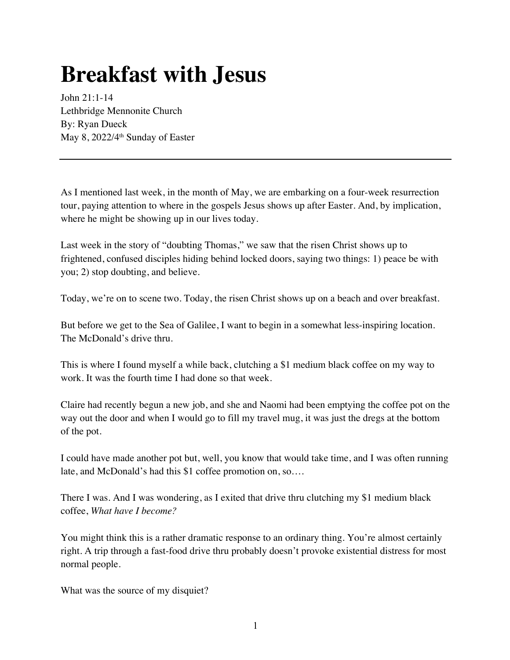## **Breakfast with Jesus**

John 21:1-14 Lethbridge Mennonite Church By: Ryan Dueck May 8, 2022/4<sup>th</sup> Sunday of Easter

As I mentioned last week, in the month of May, we are embarking on a four-week resurrection tour, paying attention to where in the gospels Jesus shows up after Easter. And, by implication, where he might be showing up in our lives today.

Last week in the story of "doubting Thomas," we saw that the risen Christ shows up to frightened, confused disciples hiding behind locked doors, saying two things: 1) peace be with you; 2) stop doubting, and believe.

Today, we're on to scene two. Today, the risen Christ shows up on a beach and over breakfast.

But before we get to the Sea of Galilee, I want to begin in a somewhat less-inspiring location. The McDonald's drive thru.

This is where I found myself a while back, clutching a \$1 medium black coffee on my way to work. It was the fourth time I had done so that week.

Claire had recently begun a new job, and she and Naomi had been emptying the coffee pot on the way out the door and when I would go to fill my travel mug, it was just the dregs at the bottom of the pot.

I could have made another pot but, well, you know that would take time, and I was often running late, and McDonald's had this \$1 coffee promotion on, so….

There I was. And I was wondering, as I exited that drive thru clutching my \$1 medium black coffee, *What have I become?*

You might think this is a rather dramatic response to an ordinary thing. You're almost certainly right. A trip through a fast-food drive thru probably doesn't provoke existential distress for most normal people.

What was the source of my disquiet?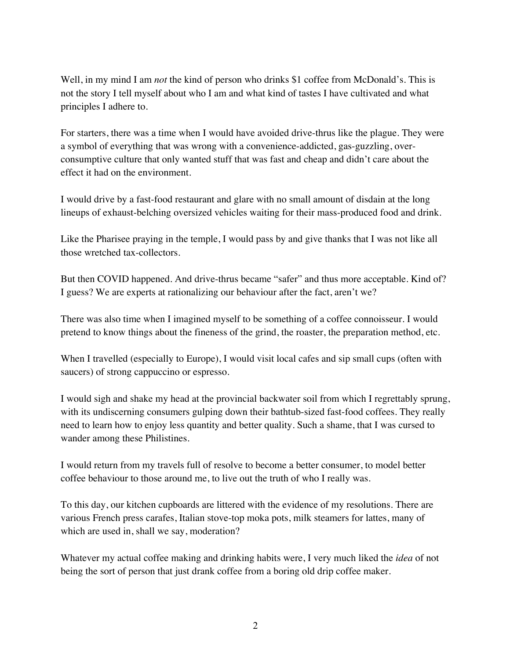Well, in my mind I am *not* the kind of person who drinks \$1 coffee from McDonald's. This is not the story I tell myself about who I am and what kind of tastes I have cultivated and what principles I adhere to.

For starters, there was a time when I would have avoided drive-thrus like the plague. They were a symbol of everything that was wrong with a convenience-addicted, gas-guzzling, overconsumptive culture that only wanted stuff that was fast and cheap and didn't care about the effect it had on the environment.

I would drive by a fast-food restaurant and glare with no small amount of disdain at the long lineups of exhaust-belching oversized vehicles waiting for their mass-produced food and drink.

Like the Pharisee praying in the temple, I would pass by and give thanks that I was not like all those wretched tax-collectors.

But then COVID happened. And drive-thrus became "safer" and thus more acceptable. Kind of? I guess? We are experts at rationalizing our behaviour after the fact, aren't we?

There was also time when I imagined myself to be something of a coffee connoisseur. I would pretend to know things about the fineness of the grind, the roaster, the preparation method, etc.

When I travelled (especially to Europe), I would visit local cafes and sip small cups (often with saucers) of strong cappuccino or espresso.

I would sigh and shake my head at the provincial backwater soil from which I regrettably sprung, with its undiscerning consumers gulping down their bathtub-sized fast-food coffees. They really need to learn how to enjoy less quantity and better quality. Such a shame, that I was cursed to wander among these Philistines.

I would return from my travels full of resolve to become a better consumer, to model better coffee behaviour to those around me, to live out the truth of who I really was.

To this day, our kitchen cupboards are littered with the evidence of my resolutions. There are various French press carafes, Italian stove-top moka pots, milk steamers for lattes, many of which are used in, shall we say, moderation?

Whatever my actual coffee making and drinking habits were, I very much liked the *idea* of not being the sort of person that just drank coffee from a boring old drip coffee maker.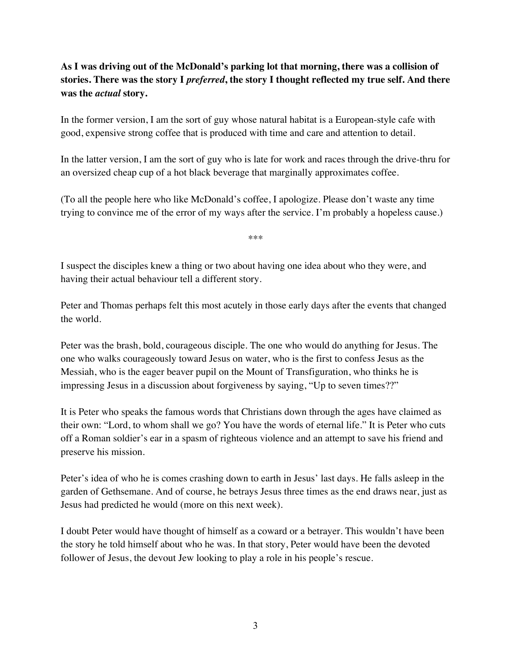## **As I was driving out of the McDonald's parking lot that morning, there was a collision of stories. There was the story I** *preferred***, the story I thought reflected my true self. And there was the** *actual* **story.**

In the former version, I am the sort of guy whose natural habitat is a European-style cafe with good, expensive strong coffee that is produced with time and care and attention to detail.

In the latter version, I am the sort of guy who is late for work and races through the drive-thru for an oversized cheap cup of a hot black beverage that marginally approximates coffee.

(To all the people here who like McDonald's coffee, I apologize. Please don't waste any time trying to convince me of the error of my ways after the service. I'm probably a hopeless cause.)

\*\*\*

I suspect the disciples knew a thing or two about having one idea about who they were, and having their actual behaviour tell a different story.

Peter and Thomas perhaps felt this most acutely in those early days after the events that changed the world.

Peter was the brash, bold, courageous disciple. The one who would do anything for Jesus. The one who walks courageously toward Jesus on water, who is the first to confess Jesus as the Messiah, who is the eager beaver pupil on the Mount of Transfiguration, who thinks he is impressing Jesus in a discussion about forgiveness by saying, "Up to seven times??"

It is Peter who speaks the famous words that Christians down through the ages have claimed as their own: "Lord, to whom shall we go? You have the words of eternal life." It is Peter who cuts off a Roman soldier's ear in a spasm of righteous violence and an attempt to save his friend and preserve his mission.

Peter's idea of who he is comes crashing down to earth in Jesus' last days. He falls asleep in the garden of Gethsemane. And of course, he betrays Jesus three times as the end draws near, just as Jesus had predicted he would (more on this next week).

I doubt Peter would have thought of himself as a coward or a betrayer. This wouldn't have been the story he told himself about who he was. In that story, Peter would have been the devoted follower of Jesus, the devout Jew looking to play a role in his people's rescue.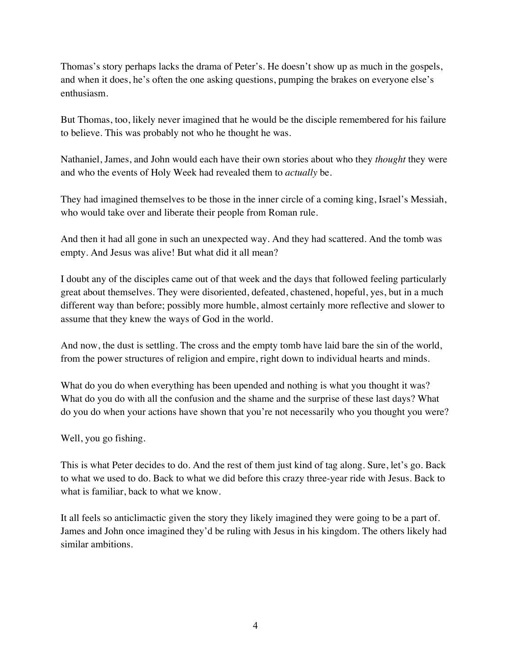Thomas's story perhaps lacks the drama of Peter's. He doesn't show up as much in the gospels, and when it does, he's often the one asking questions, pumping the brakes on everyone else's enthusiasm.

But Thomas, too, likely never imagined that he would be the disciple remembered for his failure to believe. This was probably not who he thought he was.

Nathaniel, James, and John would each have their own stories about who they *thought* they were and who the events of Holy Week had revealed them to *actually* be.

They had imagined themselves to be those in the inner circle of a coming king, Israel's Messiah, who would take over and liberate their people from Roman rule.

And then it had all gone in such an unexpected way. And they had scattered. And the tomb was empty. And Jesus was alive! But what did it all mean?

I doubt any of the disciples came out of that week and the days that followed feeling particularly great about themselves. They were disoriented, defeated, chastened, hopeful, yes, but in a much different way than before; possibly more humble, almost certainly more reflective and slower to assume that they knew the ways of God in the world.

And now, the dust is settling. The cross and the empty tomb have laid bare the sin of the world, from the power structures of religion and empire, right down to individual hearts and minds.

What do you do when everything has been upended and nothing is what you thought it was? What do you do with all the confusion and the shame and the surprise of these last days? What do you do when your actions have shown that you're not necessarily who you thought you were?

Well, you go fishing.

This is what Peter decides to do. And the rest of them just kind of tag along. Sure, let's go. Back to what we used to do. Back to what we did before this crazy three-year ride with Jesus. Back to what is familiar, back to what we know.

It all feels so anticlimactic given the story they likely imagined they were going to be a part of. James and John once imagined they'd be ruling with Jesus in his kingdom. The others likely had similar ambitions.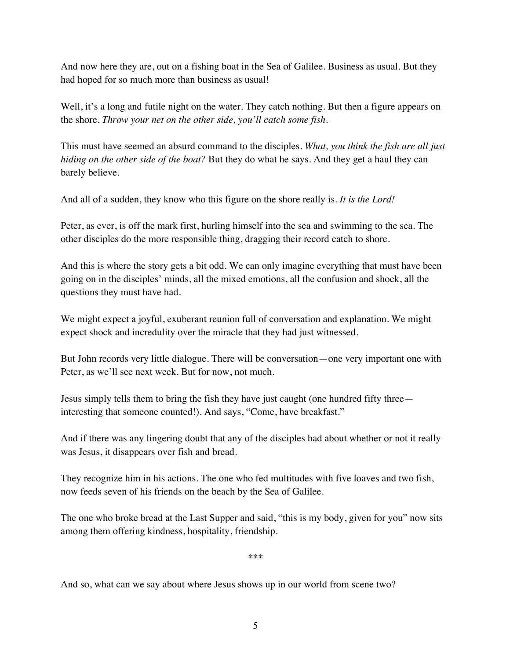And now here they are, out on a fishing boat in the Sea of Galilee. Business as usual. But they had hoped for so much more than business as usual!

Well, it's a long and futile night on the water. They catch nothing. But then a figure appears on the shore. *Throw your net on the other side, you'll catch some fish*.

This must have seemed an absurd command to the disciples. *What, you think the fish are all just hiding on the other side of the boat?* But they do what he says. And they get a haul they can barely believe.

And all of a sudden, they know who this figure on the shore really is. *It is the Lord!* 

Peter, as ever, is off the mark first, hurling himself into the sea and swimming to the sea. The other disciples do the more responsible thing, dragging their record catch to shore.

And this is where the story gets a bit odd. We can only imagine everything that must have been going on in the disciples' minds, all the mixed emotions, all the confusion and shock, all the questions they must have had.

We might expect a joyful, exuberant reunion full of conversation and explanation. We might expect shock and incredulity over the miracle that they had just witnessed.

But John records very little dialogue. There will be conversation—one very important one with Peter, as we'll see next week. But for now, not much.

Jesus simply tells them to bring the fish they have just caught (one hundred fifty three interesting that someone counted!). And says, "Come, have breakfast."

And if there was any lingering doubt that any of the disciples had about whether or not it really was Jesus, it disappears over fish and bread.

They recognize him in his actions. The one who fed multitudes with five loaves and two fish, now feeds seven of his friends on the beach by the Sea of Galilee.

The one who broke bread at the Last Supper and said, "this is my body, given for you" now sits among them offering kindness, hospitality, friendship.

\*\*\*

And so, what can we say about where Jesus shows up in our world from scene two?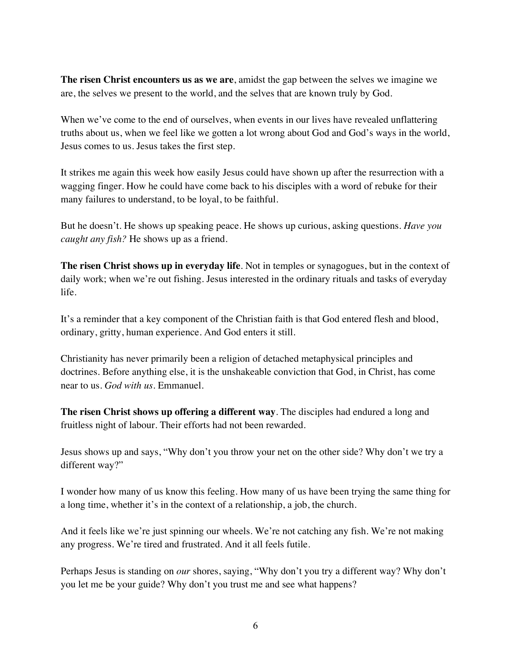**The risen Christ encounters us as we are**, amidst the gap between the selves we imagine we are, the selves we present to the world, and the selves that are known truly by God.

When we've come to the end of ourselves, when events in our lives have revealed unflattering truths about us, when we feel like we gotten a lot wrong about God and God's ways in the world, Jesus comes to us. Jesus takes the first step.

It strikes me again this week how easily Jesus could have shown up after the resurrection with a wagging finger. How he could have come back to his disciples with a word of rebuke for their many failures to understand, to be loyal, to be faithful.

But he doesn't. He shows up speaking peace. He shows up curious, asking questions. *Have you caught any fish?* He shows up as a friend.

**The risen Christ shows up in everyday life**. Not in temples or synagogues, but in the context of daily work; when we're out fishing. Jesus interested in the ordinary rituals and tasks of everyday life.

It's a reminder that a key component of the Christian faith is that God entered flesh and blood, ordinary, gritty, human experience. And God enters it still.

Christianity has never primarily been a religion of detached metaphysical principles and doctrines. Before anything else, it is the unshakeable conviction that God, in Christ, has come near to us. *God with us*. Emmanuel.

**The risen Christ shows up offering a different way**. The disciples had endured a long and fruitless night of labour. Their efforts had not been rewarded.

Jesus shows up and says, "Why don't you throw your net on the other side? Why don't we try a different way?"

I wonder how many of us know this feeling. How many of us have been trying the same thing for a long time, whether it's in the context of a relationship, a job, the church.

And it feels like we're just spinning our wheels. We're not catching any fish. We're not making any progress. We're tired and frustrated. And it all feels futile.

Perhaps Jesus is standing on *our* shores, saying, "Why don't you try a different way? Why don't you let me be your guide? Why don't you trust me and see what happens?